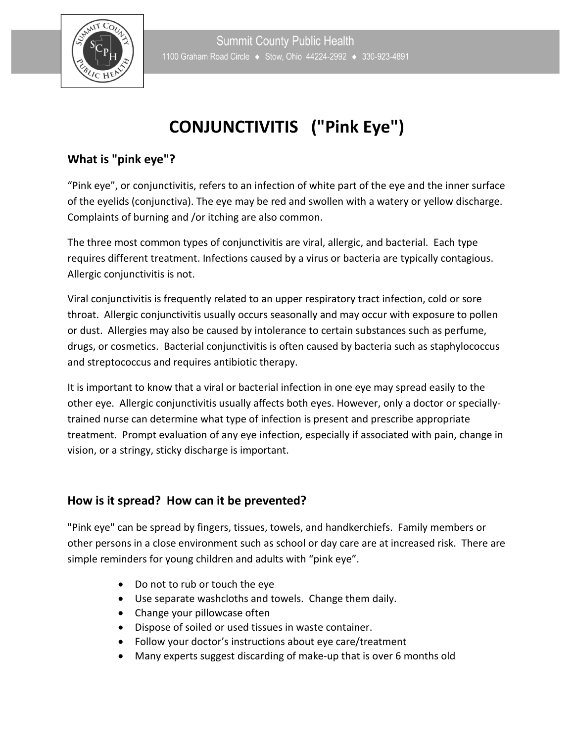

## **CONJUNCTIVITIS ("Pink Eye")**

## **What is "pink eye"?**

"Pink eye", or conjunctivitis, refers to an infection of white part of the eye and the inner surface of the eyelids (conjunctiva). The eye may be red and swollen with a watery or yellow discharge. Complaints of burning and /or itching are also common.

The three most common types of conjunctivitis are viral, allergic, and bacterial. Each type requires different treatment. Infections caused by a virus or bacteria are typically contagious. Allergic conjunctivitis is not.

Viral conjunctivitis is frequently related to an upper respiratory tract infection, cold or sore throat. Allergic conjunctivitis usually occurs seasonally and may occur with exposure to pollen or dust. Allergies may also be caused by intolerance to certain substances such as perfume, drugs, or cosmetics. Bacterial conjunctivitis is often caused by bacteria such as staphylococcus and streptococcus and requires antibiotic therapy.

It is important to know that a viral or bacterial infection in one eye may spread easily to the other eye. Allergic conjunctivitis usually affects both eyes. However, only a doctor or speciallytrained nurse can determine what type of infection is present and prescribe appropriate treatment. Prompt evaluation of any eye infection, especially if associated with pain, change in vision, or a stringy, sticky discharge is important.

## **How is it spread? How can it be prevented?**

"Pink eye" can be spread by fingers, tissues, towels, and handkerchiefs. Family members or other persons in a close environment such as school or day care are at increased risk. There are simple reminders for young children and adults with "pink eye".

- Do not to rub or touch the eye
- Use separate washcloths and towels. Change them daily.
- Change your pillowcase often
- Dispose of soiled or used tissues in waste container.
- Follow your doctor's instructions about eye care/treatment
- Many experts suggest discarding of make-up that is over 6 months old